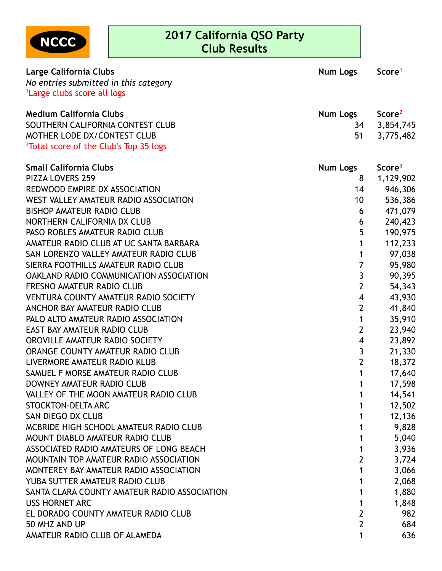

## **2017 California QSO Party Club Results**

| Large California Clubs                             | <b>Num Logs</b>         | Score <sup>1</sup> |
|----------------------------------------------------|-------------------------|--------------------|
| No entries submitted in this category              |                         |                    |
| <sup>1</sup> Large clubs score all logs            |                         |                    |
|                                                    |                         |                    |
| <b>Medium California Clubs</b>                     | Num Logs                | Score <sup>2</sup> |
| SOUTHERN CALIFORNIA CONTEST CLUB                   | 34                      | 3,854,745          |
| MOTHER LODE DX/CONTEST CLUB                        | 51                      | 3,775,482          |
| <sup>2</sup> Total score of the Club's Top 35 logs |                         |                    |
| <b>Small California Clubs</b>                      | <b>Num Logs</b>         | Score <sup>3</sup> |
| PIZZA LOVERS 259                                   | 8                       | 1,129,902          |
| REDWOOD EMPIRE DX ASSOCIATION                      | 14                      | 946,306            |
| WEST VALLEY AMATEUR RADIO ASSOCIATION              | 10                      | 536,386            |
| <b>BISHOP AMATEUR RADIO CLUB</b>                   | 6                       | 471,079            |
| NORTHERN CALIFORNIA DX CLUB                        | 6                       | 240,423            |
| PASO ROBLES AMATEUR RADIO CLUB                     | 5                       | 190,975            |
| AMATEUR RADIO CLUB AT UC SANTA BARBARA             | 1                       | 112,233            |
| SAN LORENZO VALLEY AMATEUR RADIO CLUB              | 1                       | 97,038             |
| SIERRA FOOTHILLS AMATEUR RADIO CLUB                | $\overline{7}$          | 95,980             |
| <b>OAKLAND RADIO COMMUNICATION ASSOCIATION</b>     | $\overline{3}$          | 90,395             |
| <b>FRESNO AMATEUR RADIO CLUB</b>                   | $\overline{2}$          | 54,343             |
| <b>VENTURA COUNTY AMATEUR RADIO SOCIETY</b>        | $\overline{\mathbf{4}}$ | 43,930             |
| ANCHOR BAY AMATEUR RADIO CLUB                      | $\overline{2}$          | 41,840             |
| PALO ALTO AMATEUR RADIO ASSOCIATION                | 1                       | 35,910             |
| <b>EAST BAY AMATEUR RADIO CLUB</b>                 | $\overline{2}$          | 23,940             |
| OROVILLE AMATEUR RADIO SOCIETY                     | $\overline{\mathbf{4}}$ | 23,892             |
| ORANGE COUNTY AMATEUR RADIO CLUB                   | 3                       | 21,330             |
| LIVERMORE AMATEUR RADIO KLUB                       | $\overline{2}$          | 18,372             |
| SAMUEL F MORSE AMATEUR RADIO CLUB                  | 1                       | 17,640             |
| DOWNEY AMATEUR RADIO CLUB                          | 1                       | 17,598             |
| VALLEY OF THE MOON AMATEUR RADIO CLUB              |                         | 14,541             |
| <b>STOCKTON-DELTA ARC</b>                          |                         | 12,502             |
| SAN DIEGO DX CLUB                                  |                         | 12,136             |
| MCBRIDE HIGH SCHOOL AMATEUR RADIO CLUB             |                         | 9,828              |
| MOUNT DIABLO AMATEUR RADIO CLUB                    |                         | 5,040              |
| ASSOCIATED RADIO AMATEURS OF LONG BEACH            |                         | 3,936              |
| MOUNTAIN TOP AMATEUR RADIO ASSOCIATION             | 2                       | 3,724              |
| MONTEREY BAY AMATEUR RADIO ASSOCIATION             | 1                       | 3,066              |
| YUBA SUTTER AMATEUR RADIO CLUB                     |                         | 2,068              |
| SANTA CLARA COUNTY AMATEUR RADIO ASSOCIATION       |                         | 1,880              |
| <b>USS HORNET ARC</b>                              | 1                       | 1,848              |
| EL DORADO COUNTY AMATEUR RADIO CLUB                | $\overline{2}$          | 982                |
| 50 MHZ AND UP                                      | $\overline{2}$          | 684                |
| AMATEUR RADIO CLUB OF ALAMEDA                      | 1                       | 636                |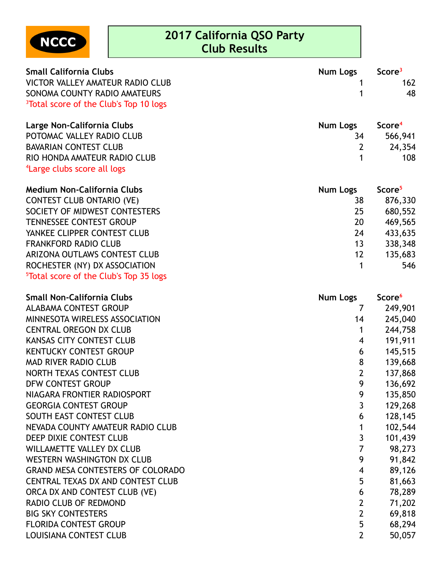

## **2017 California QSO Party Club Results**

| <b>Small California Clubs</b><br><b>VICTOR VALLEY AMATEUR RADIO CLUB</b><br>SONOMA COUNTY RADIO AMATEURS<br><sup>3</sup> Total score of the Club's Top 10 logs | Num Logs        | Score <sup>3</sup><br>162<br>48 |
|----------------------------------------------------------------------------------------------------------------------------------------------------------------|-----------------|---------------------------------|
| Large Non-California Clubs                                                                                                                                     | Num Logs        | Score <sup>4</sup>              |
| POTOMAC VALLEY RADIO CLUB                                                                                                                                      | 34              | 566,941                         |
| <b>BAVARIAN CONTEST CLUB</b>                                                                                                                                   | $\overline{2}$  | 24,354                          |
| RIO HONDA AMATEUR RADIO CLUB                                                                                                                                   |                 | 108                             |
| <sup>4</sup> Large clubs score all logs                                                                                                                        |                 |                                 |
| <b>Medium Non-California Clubs</b>                                                                                                                             | <b>Num Logs</b> | Score <sup>5</sup>              |
| <b>CONTEST CLUB ONTARIO (VE)</b>                                                                                                                               | 38              | 876,330                         |
| SOCIETY OF MIDWEST CONTESTERS                                                                                                                                  | 25              | 680,552                         |
| <b>TENNESSEE CONTEST GROUP</b>                                                                                                                                 | 20              | 469,565                         |
| YANKEE CLIPPER CONTEST CLUB                                                                                                                                    | 24              | 433,635                         |
| <b>FRANKFORD RADIO CLUB</b>                                                                                                                                    | 13              | 338,348                         |
| ARIZONA OUTLAWS CONTEST CLUB                                                                                                                                   | 12              | 135,683                         |
| ROCHESTER (NY) DX ASSOCIATION                                                                                                                                  |                 | 546                             |
| <sup>5</sup> Total score of the Club's Top 35 logs                                                                                                             |                 |                                 |
| <b>Small Non-California Clubs</b>                                                                                                                              | <b>Num Logs</b> | Score <sup>6</sup>              |
| <b>ALABAMA CONTEST GROUP</b>                                                                                                                                   |                 | 249,901                         |

| <b>ALABAMA CONTEST GROUP</b>             |                | 249,901 |
|------------------------------------------|----------------|---------|
| MINNESOTA WIRELESS ASSOCIATION           | 14             | 245,040 |
| <b>CENTRAL OREGON DX CLUB</b>            |                | 244,758 |
| <b>KANSAS CITY CONTEST CLUB</b>          | 4              | 191,911 |
| <b>KENTUCKY CONTEST GROUP</b>            | 6              | 145,515 |
| <b>MAD RIVER RADIO CLUB</b>              | 8              | 139,668 |
| NORTH TEXAS CONTEST CLUB                 | $\overline{2}$ | 137,868 |
| DFW CONTEST GROUP                        | 9              | 136,692 |
| NIAGARA FRONTIER RADIOSPORT              | 9              | 135,850 |
| <b>GEORGIA CONTEST GROUP</b>             | 3              | 129,268 |
| SOUTH EAST CONTEST CLUB                  | 6              | 128,145 |
| NEVADA COUNTY AMATEUR RADIO CLUB         |                | 102,544 |
| DEEP DIXIE CONTEST CLUB                  | 3              | 101,439 |
| <b>WILLAMETTE VALLEY DX CLUB</b>         | 7              | 98,273  |
| WESTERN WASHINGTON DX CLUB               | 9              | 91,842  |
| <b>GRAND MESA CONTESTERS OF COLORADO</b> | 4              | 89,126  |
| <b>CENTRAL TEXAS DX AND CONTEST CLUB</b> | 5              | 81,663  |
| ORCA DX AND CONTEST CLUB (VE)            | 6              | 78,289  |
| RADIO CLUB OF REDMOND                    | $\overline{2}$ | 71,202  |
| <b>BIG SKY CONTESTERS</b>                | $\overline{2}$ | 69,818  |
| <b>FLORIDA CONTEST GROUP</b>             | 5              | 68,294  |
| <b>LOUISIANA CONTEST CLUB</b>            | $\overline{2}$ | 50,057  |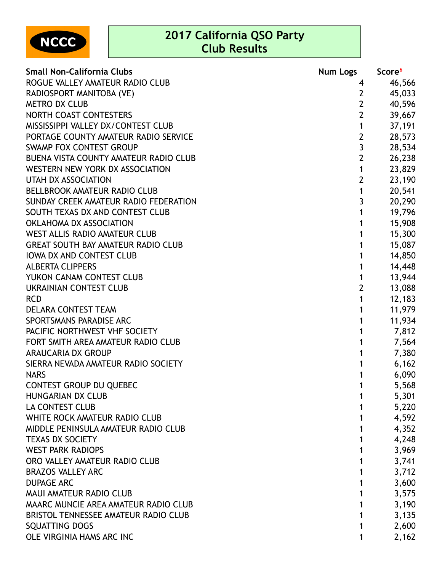**2017 California QSO Party**



## **Club Results**

| <b>Small Non-California Clubs</b>         | Num Logs       | Score <sup>6</sup> |
|-------------------------------------------|----------------|--------------------|
| ROGUE VALLEY AMATEUR RADIO CLUB           | 4              | 46,566             |
| RADIOSPORT MANITOBA (VE)                  | $\mathbf{2}$   | 45,033             |
| <b>METRO DX CLUB</b>                      | $\overline{2}$ | 40,596             |
| NORTH COAST CONTESTERS                    | $\overline{2}$ | 39,667             |
| MISSISSIPPI VALLEY DX/CONTEST CLUB        | $\mathbf 1$    | 37,191             |
| PORTAGE COUNTY AMATEUR RADIO SERVICE      | $\overline{2}$ | 28,573             |
| <b>SWAMP FOX CONTEST GROUP</b>            | $\overline{3}$ | 28,534             |
| BUENA VISTA COUNTY AMATEUR RADIO CLUB     | $\overline{2}$ | 26,238             |
| WESTERN NEW YORK DX ASSOCIATION           | $\mathbf 1$    | 23,829             |
| <b>UTAH DX ASSOCIATION</b>                | $\overline{2}$ | 23,190             |
| <b>BELLBROOK AMATEUR RADIO CLUB</b>       | $\mathbf 1$    | 20,541             |
| SUNDAY CREEK AMATEUR RADIO FEDERATION     | $\overline{3}$ | 20,290             |
| SOUTH TEXAS DX AND CONTEST CLUB           | $\mathbf 1$    | 19,796             |
| OKLAHOMA DX ASSOCIATION                   | $\mathbf{1}$   | 15,908             |
| <b>WEST ALLIS RADIO AMATEUR CLUB</b>      | 1              | 15,300             |
| <b>GREAT SOUTH BAY AMATEUR RADIO CLUB</b> | 1              | 15,087             |
| <b>IOWA DX AND CONTEST CLUB</b>           | 1              | 14,850             |
| <b>ALBERTA CLIPPERS</b>                   | 1              | 14,448             |
| YUKON CANAM CONTEST CLUB                  | 1              | 13,944             |
| <b>UKRAINIAN CONTEST CLUB</b>             | $\overline{2}$ | 13,088             |
| <b>RCD</b>                                | $\mathbf{1}$   | 12,183             |
| DELARA CONTEST TEAM                       | 1              | 11,979             |
| SPORTSMANS PARADISE ARC                   | 1              | 11,934             |
| PACIFIC NORTHWEST VHF SOCIETY             | 1              | 7,812              |
| FORT SMITH AREA AMATEUR RADIO CLUB        | 1              | 7,564              |
| <b>ARAUCARIA DX GROUP</b>                 | 1              | 7,380              |
| SIERRA NEVADA AMATEUR RADIO SOCIETY       |                | 6,162              |
| <b>NARS</b>                               |                | 6,090              |
| <b>CONTEST GROUP DU QUEBEC</b>            | 1              | 5,568              |
| <b>HUNGARIAN DX CLUB</b>                  |                | 5,301              |
| LA CONTEST CLUB                           |                | 5,220              |
| WHITE ROCK AMATEUR RADIO CLUB             | 1              | 4,592              |
| MIDDLE PENINSULA AMATEUR RADIO CLUB       |                | 4,352              |
| <b>TEXAS DX SOCIETY</b>                   | 1              | 4,248              |
| <b>WEST PARK RADIOPS</b>                  |                | 3,969              |
| ORO VALLEY AMATEUR RADIO CLUB             | 1              | 3,741              |
| <b>BRAZOS VALLEY ARC</b>                  |                | 3,712              |
| <b>DUPAGE ARC</b>                         | 1              | 3,600              |
| MAUI AMATEUR RADIO CLUB                   |                | 3,575              |
| MAARC MUNCIE AREA AMATEUR RADIO CLUB      | 1              | 3,190              |
| BRISTOL TENNESSEE AMATEUR RADIO CLUB      |                | 3,135              |
| SQUATTING DOGS                            | 1              | 2,600              |
| OLE VIRGINIA HAMS ARC INC                 | 1              | 2,162              |